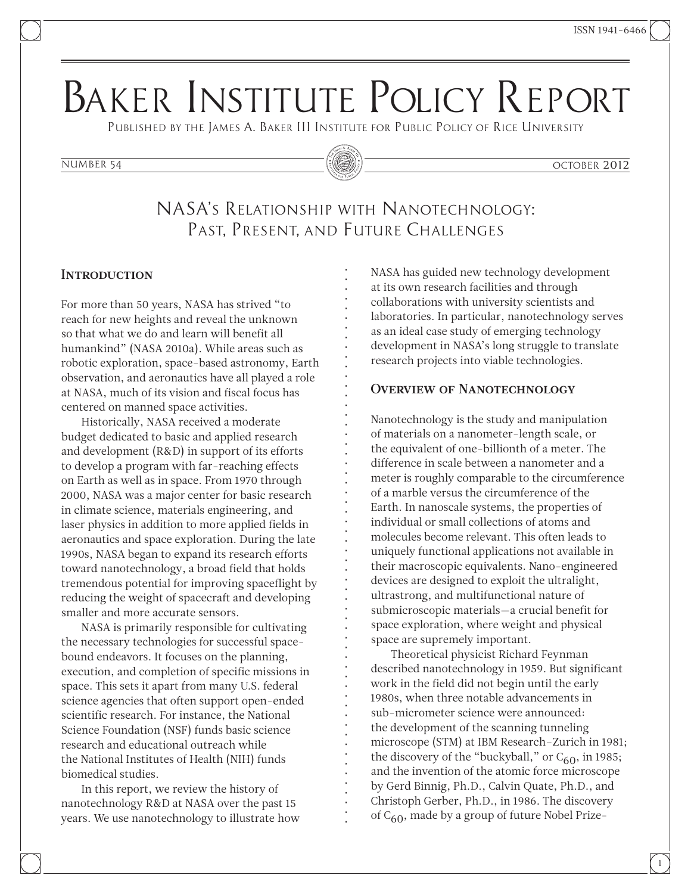# Baker Institute Policy Report

Published by the James A. Baker III Institute for Public Policy of Rice University

#### number 54 october 2012

## NASA's Relationship with Nanotechnology: Past, Present, and Future Challenges

#### **INTRODUCTION**

For more than 50 years, NASA has strived "to reach for new heights and reveal the unknown so that what we do and learn will benefit all humankind" (NASA 2010a). While areas such as robotic exploration, space-based astronomy, Earth observation, and aeronautics have all played a role at NASA, much of its vision and fiscal focus has centered on manned space activities.

Historically, NASA received a moderate budget dedicated to basic and applied research and development (R&D) in support of its efforts to develop a program with far-reaching effects on Earth as well as in space. From 1970 through 2000, NASA was a major center for basic research in climate science, materials engineering, and laser physics in addition to more applied fields in aeronautics and space exploration. During the late 1990s, NASA began to expand its research efforts toward nanotechnology, a broad field that holds tremendous potential for improving spaceflight by reducing the weight of spacecraft and developing smaller and more accurate sensors.

NASA is primarily responsible for cultivating the necessary technologies for successful spacebound endeavors. It focuses on the planning, execution, and completion of specific missions in space. This sets it apart from many U.S. federal science agencies that often support open-ended scientific research. For instance, the National Science Foundation (NSF) funds basic science research and educational outreach while the National Institutes of Health (NIH) funds biomedical studies.

In this report, we review the history of nanotechnology R&D at NASA over the past 15 years. We use nanotechnology to illustrate how NASA has guided new technology development at its own research facilities and through collaborations with university scientists and laboratories. In particular, nanotechnology serves as an ideal case study of emerging technology development in NASA's long struggle to translate research projects into viable technologies.

#### Overview of Nanotechnology

Nanotechnology is the study and manipulation of materials on a nanometer-length scale, or the equivalent of one-billionth of a meter. The difference in scale between a nanometer and a meter is roughly comparable to the circumference of a marble versus the circumference of the Earth. In nanoscale systems, the properties of individual or small collections of atoms and molecules become relevant. This often leads to uniquely functional applications not available in their macroscopic equivalents. Nano-engineered devices are designed to exploit the ultralight, ultrastrong, and multifunctional nature of submicroscopic materials—a crucial benefit for space exploration, where weight and physical space are supremely important.

Theoretical physicist Richard Feynman described nanotechnology in 1959. But significant work in the field did not begin until the early 1980s, when three notable advancements in sub-micrometer science were announced: the development of the scanning tunneling microscope (STM) at IBM Research–Zurich in 1981; the discovery of the "buckyball," or  $C_{60}$ , in 1985; and the invention of the atomic force microscope by Gerd Binnig, Ph.D., Calvin Quate, Ph.D., and Christoph Gerber, Ph.D., in 1986. The discovery of C<sub>60</sub>, made by a group of future Nobel Prize-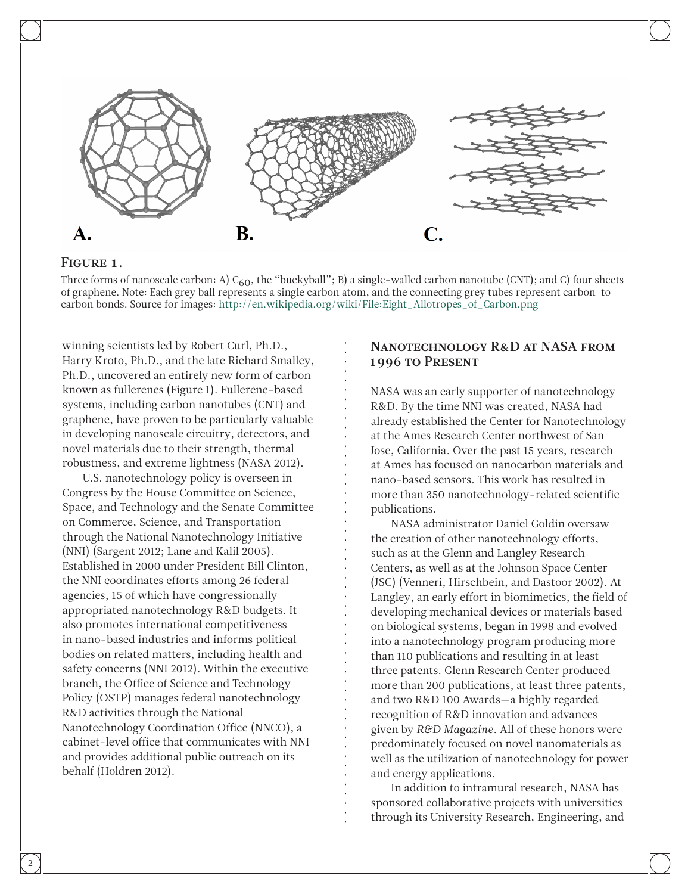

#### FIGURE 1.

Three forms of nanoscale carbon: A)  $C_{60}$ , the "buckyball"; B) a single-walled carbon nanotube (CNT); and C) four sheets of graphene. Note: Each grey ball represents a single carbon atom, and the connecting grey tubes represent carbon-tocarbon bonds. Source for images: [http://en.wikipedia.org/wiki/File:Eight\\_Allotropes\\_of\\_Carbon.png](http://en.wikipedia.org/wiki/File:Eight_Allotropes_of_Carbon.png)

winning scientists led by Robert Curl, Ph.D., Harry Kroto, Ph.D., and the late Richard Smalley, Ph.D., uncovered an entirely new form of carbon known as fullerenes (Figure 1). Fullerene-based systems, including carbon nanotubes (CNT) and graphene, have proven to be particularly valuable in developing nanoscale circuitry, detectors, and novel materials due to their strength, thermal robustness, and extreme lightness (NASA 2012).

U.S. nanotechnology policy is overseen in Congress by the House Committee on Science, Space, and Technology and the Senate Committee on Commerce, Science, and Transportation through the National Nanotechnology Initiative (NNI) (Sargent 2012; Lane and Kalil 2005). Established in 2000 under President Bill Clinton, the NNI coordinates efforts among 26 federal agencies, 15 of which have congressionally appropriated nanotechnology R&D budgets. It also promotes international competitiveness in nano-based industries and informs political bodies on related matters, including health and safety concerns (NNI 2012). Within the executive branch, the Office of Science and Technology Policy (OSTP) manages federal nanotechnology R&D activities through the National Nanotechnology Coordination Office (NNCO), a cabinet-level office that communicates with NNI and provides additional public outreach on its behalf (Holdren 2012).

### Nanotechnology R&D at NASA from 1996 to Present

NASA was an early supporter of nanotechnology R&D. By the time NNI was created, NASA had already established the Center for Nanotechnology at the Ames Research Center northwest of San Jose, California. Over the past 15 years, research at Ames has focused on nanocarbon materials and nano-based sensors. This work has resulted in more than 350 nanotechnology-related scientific publications.

NASA administrator Daniel Goldin oversaw the creation of other nanotechnology efforts, such as at the Glenn and Langley Research Centers, as well as at the Johnson Space Center (JSC) (Venneri, Hirschbein, and Dastoor 2002). At Langley, an early effort in biomimetics, the field of developing mechanical devices or materials based on biological systems, began in 1998 and evolved into a nanotechnology program producing more than 110 publications and resulting in at least three patents. Glenn Research Center produced more than 200 publications, at least three patents, and two R&D 100 Awards—a highly regarded recognition of R&D innovation and advances given by *R&D Magazine*. All of these honors were predominately focused on novel nanomaterials as well as the utilization of nanotechnology for power and energy applications.

In addition to intramural research, NASA has sponsored collaborative projects with universities through its University Research, Engineering, and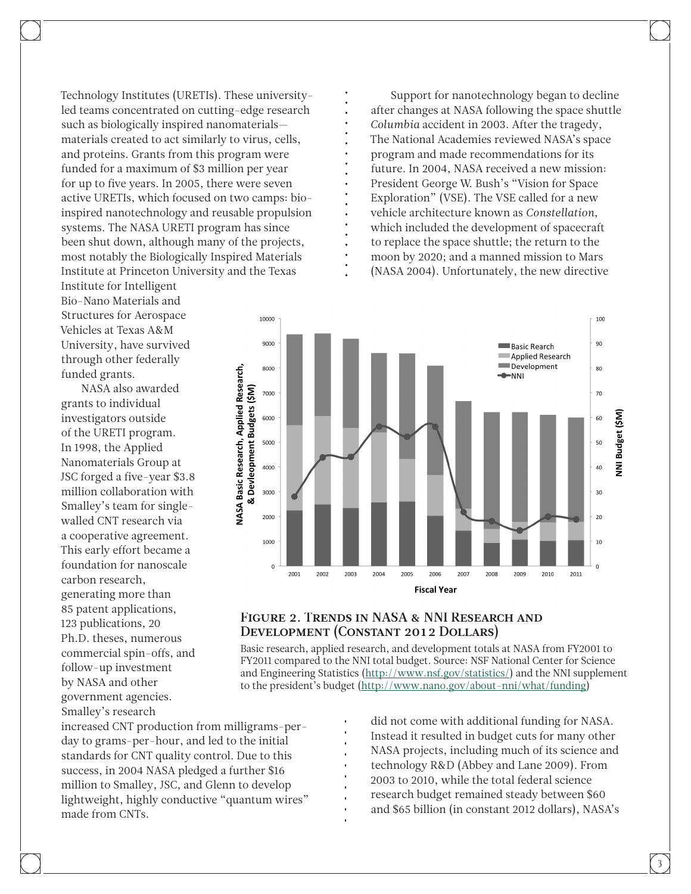Technology Institutes (URETIs). These universityled teams concentrated on cutting-edge research such as biologically inspired nanomaterials materials created to act similarly to virus, cells, and proteins. Grants from this program were funded for a maximum of \$3 million per year for up to five years. In 2005, there were seven active URETIs, which focused on two camps: bioinspired nanotechnology and reusable propulsion systems. The NASA URETI program has since been shut down, although many of the projects, most notably the Biologically Inspired Materials Institute at Princeton University and the Texas

Institute for Intelligent Bio-Nano Materials and Structures for Aerospace Vehicles at Texas A&M University, have survived through other federally funded grants.

NASA also awarded grants to individual investigators outside of the URETI program. In 1998, the Applied Nanomaterials Group at JSC forged a five-year \$3.8 million collaboration with Smalley's team for singlewalled CNT research via a cooperative agreement. This early effort became a foundation for nanoscale carbon research, generating more than 85 patent applications, 123 publications, 20 Ph.D. theses, numerous commercial spin-offs, and follow-up investment by NASA and other government agencies. Smalley's research

Support for nanotechnology began to decline after changes at NASA following the space shuttle *Columbia* accident in 2003. After the tragedy, The National Academies reviewed NASA's space program and made recommendations for its future. In 2004, NASA received a new mission: President George W. Bush's "Vision for Space Exploration" (VSE). The VSE called for a new vehicle architecture known as *Constellation*, which included the development of spacecraft to replace the space shuttle; the return to the moon by 2020; and a manned mission to Mars (NASA 2004). Unfortunately, the new directive



#### FIGURE 2. TRENDS IN NASA & NNI RESEARCH AND Development (Constant 2012 Dollars)

Basic research, applied research, and development totals at NASA from FY2001 to FY2011 compared to the NNI total budget. Source: NSF National Center for Science and Engineering Statistics ([http://www.nsf.gov/statistics/\)](http://www.nsf.gov/statistics/) and the NNI supplement to the president's budget [\(http://www.nano.gov/about-nni/what/funding](http://www.nano.gov/about-nni/what/funding))

increased CNT production from milligrams-perday to grams-per-hour, and led to the initial standards for CNT quality control. Due to this success, in 2004 NASA pledged a further \$16 million to Smalley, JSC, and Glenn to develop lightweight, highly conductive "quantum wires" made from CNTs.

did not come with additional funding for NASA. Instead it resulted in budget cuts for many other NASA projects, including much of its science and technology R&D (Abbey and Lane 2009). From 2003 to 2010, while the total federal science research budget remained steady between \$60 and \$65 billion (in constant 2012 dollars), NASA's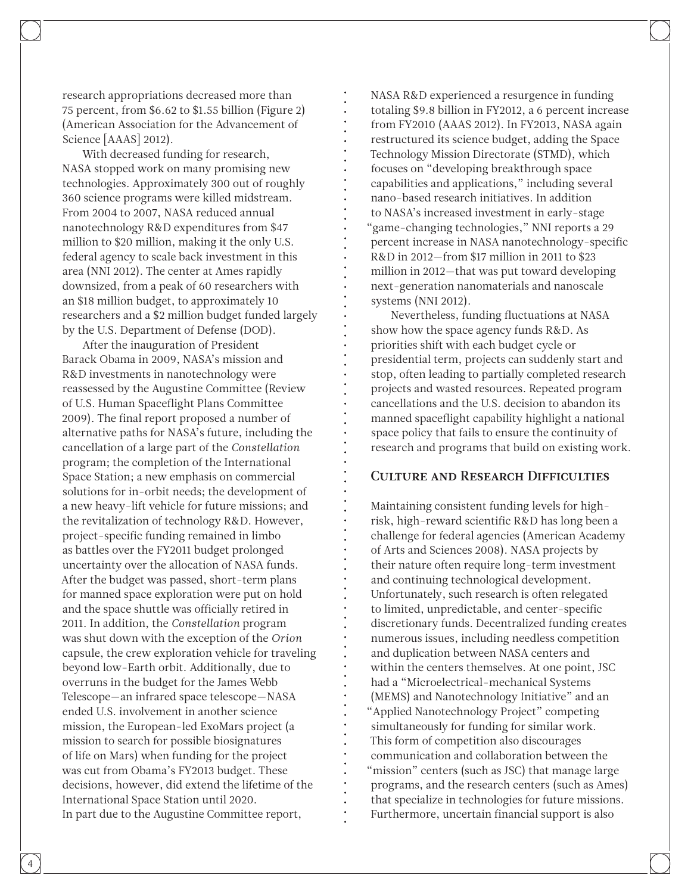research appropriations decreased more than 75 percent, from \$6.62 to \$1.55 billion (Figure 2) (American Association for the Advancement of Science [AAAS] 2012).

With decreased funding for research, NASA stopped work on many promising new technologies. Approximately 300 out of roughly 360 science programs were killed midstream. From 2004 to 2007, NASA reduced annual nanotechnology R&D expenditures from \$47 million to \$20 million, making it the only U.S. federal agency to scale back investment in this area (NNI 2012). The center at Ames rapidly downsized, from a peak of 60 researchers with an \$18 million budget, to approximately 10 researchers and a \$2 million budget funded largely by the U.S. Department of Defense (DOD).

After the inauguration of President Barack Obama in 2009, NASA's mission and R&D investments in nanotechnology were reassessed by the Augustine Committee (Review of U.S. Human Spaceflight Plans Committee 2009). The final report proposed a number of alternative paths for NASA's future, including the cancellation of a large part of the *Constellation* program; the completion of the International Space Station; a new emphasis on commercial solutions for in-orbit needs; the development of a new heavy-lift vehicle for future missions; and the revitalization of technology R&D. However, project-specific funding remained in limbo as battles over the FY2011 budget prolonged uncertainty over the allocation of NASA funds. After the budget was passed, short-term plans for manned space exploration were put on hold and the space shuttle was officially retired in 2011. In addition, the *Constellation* program was shut down with the exception of the *Orion* capsule, the crew exploration vehicle for traveling beyond low-Earth orbit. Additionally, due to overruns in the budget for the James Webb Telescope—an infrared space telescope—NASA ended U.S. involvement in another science mission, the European-led ExoMars project (a mission to search for possible biosignatures of life on Mars) when funding for the project was cut from Obama's FY2013 budget. These decisions, however, did extend the lifetime of the International Space Station until 2020. In part due to the Augustine Committee report,

NASA R&D experienced a resurgence in funding totaling \$9.8 billion in FY2012, a 6 percent increase from FY2010 (AAAS 2012). In FY2013, NASA again restructured its science budget, adding the Space Technology Mission Directorate (STMD), which focuses on "developing breakthrough space capabilities and applications," including several nano-based research initiatives. In addition to NASA's increased investment in early-stage "game-changing technologies," NNI reports a 29 percent increase in NASA nanotechnology-specific R&D in 2012—from \$17 million in 2011 to \$23 million in 2012—that was put toward developing next-generation nanomaterials and nanoscale systems (NNI 2012).

Nevertheless, funding fluctuations at NASA show how the space agency funds R&D. As priorities shift with each budget cycle or presidential term, projects can suddenly start and stop, often leading to partially completed research projects and wasted resources. Repeated program cancellations and the U.S. decision to abandon its manned spaceflight capability highlight a national space policy that fails to ensure the continuity of research and programs that build on existing work.

#### Culture and Research Difficulties

Maintaining consistent funding levels for highrisk, high-reward scientific R&D has long been a challenge for federal agencies (American Academy of Arts and Sciences 2008). NASA projects by their nature often require long-term investment and continuing technological development. Unfortunately, such research is often relegated to limited, unpredictable, and center-specific discretionary funds. Decentralized funding creates numerous issues, including needless competition and duplication between NASA centers and within the centers themselves. At one point, JSC had a "Microelectrical-mechanical Systems (MEMS) and Nanotechnology Initiative" and an "Applied Nanotechnology Project" competing simultaneously for funding for similar work. This form of competition also discourages communication and collaboration between the "mission" centers (such as JSC) that manage large programs, and the research centers (such as Ames) that specialize in technologies for future missions. Furthermore, uncertain financial support is also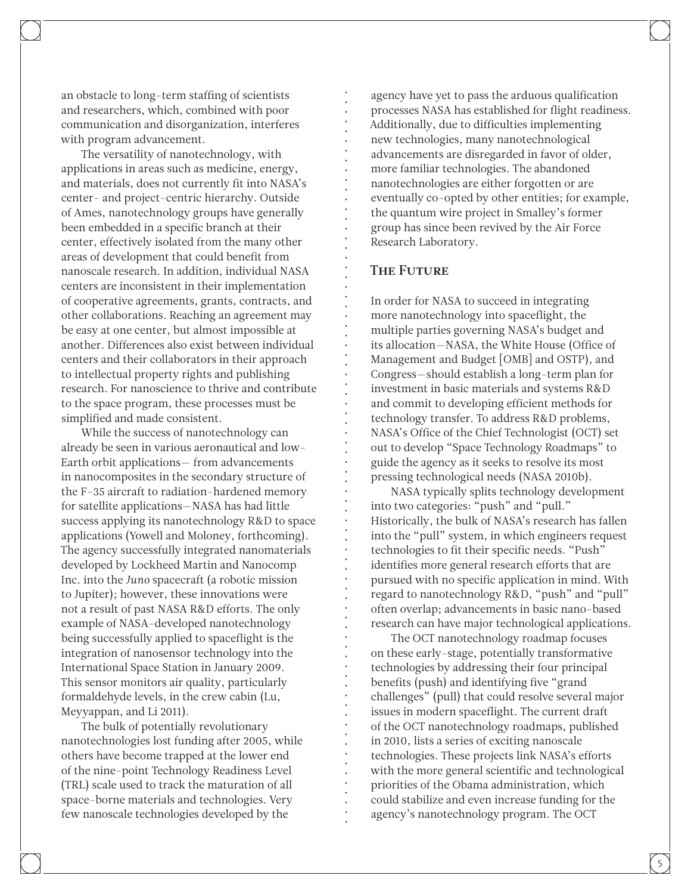an obstacle to long-term staffing of scientists and researchers, which, combined with poor communication and disorganization, interferes with program advancement.

The versatility of nanotechnology, with applications in areas such as medicine, energy, and materials, does not currently fit into NASA's center- and project-centric hierarchy. Outside of Ames, nanotechnology groups have generally been embedded in a specific branch at their center, effectively isolated from the many other areas of development that could benefit from nanoscale research. In addition, individual NASA centers are inconsistent in their implementation of cooperative agreements, grants, contracts, and other collaborations. Reaching an agreement may be easy at one center, but almost impossible at another. Differences also exist between individual centers and their collaborators in their approach to intellectual property rights and publishing research. For nanoscience to thrive and contribute to the space program, these processes must be simplified and made consistent.

While the success of nanotechnology can already be seen in various aeronautical and low-Earth orbit applications— from advancements in nanocomposites in the secondary structure of the F-35 aircraft to radiation-hardened memory for satellite applications—NASA has had little success applying its nanotechnology R&D to space applications (Yowell and Moloney, forthcoming). The agency successfully integrated nanomaterials developed by Lockheed Martin and Nanocomp Inc. into the *Juno* spacecraft (a robotic mission to Jupiter); however, these innovations were not a result of past NASA R&D efforts. The only example of NASA-developed nanotechnology being successfully applied to spaceflight is the integration of nanosensor technology into the International Space Station in January 2009. This sensor monitors air quality, particularly formaldehyde levels, in the crew cabin (Lu, Meyyappan, and Li 2011).

The bulk of potentially revolutionary nanotechnologies lost funding after 2005, while others have become trapped at the lower end of the nine-point Technology Readiness Level (TRL) scale used to track the maturation of all space-borne materials and technologies. Very few nanoscale technologies developed by the

agency have yet to pass the arduous qualification processes NASA has established for flight readiness. Additionally, due to difficulties implementing new technologies, many nanotechnological advancements are disregarded in favor of older, more familiar technologies. The abandoned nanotechnologies are either forgotten or are eventually co-opted by other entities; for example, the quantum wire project in Smalley's former group has since been revived by the Air Force Research Laboratory.

#### The Future

In order for NASA to succeed in integrating more nanotechnology into spaceflight, the multiple parties governing NASA's budget and its allocation—NASA, the White House (Office of Management and Budget [OMB] and OSTP), and Congress—should establish a long-term plan for investment in basic materials and systems R&D and commit to developing efficient methods for technology transfer. To address R&D problems, NASA's Office of the Chief Technologist (OCT) set out to develop "Space Technology Roadmaps" to guide the agency as it seeks to resolve its most pressing technological needs (NASA 2010b).

NASA typically splits technology development into two categories: "push" and "pull." Historically, the bulk of NASA's research has fallen into the "pull" system, in which engineers request technologies to fit their specific needs. "Push" identifies more general research efforts that are pursued with no specific application in mind. With regard to nanotechnology R&D, "push" and "pull" often overlap; advancements in basic nano-based research can have major technological applications.

The OCT nanotechnology roadmap focuses on these early-stage, potentially transformative technologies by addressing their four principal benefits (push) and identifying five "grand challenges" (pull) that could resolve several major issues in modern spaceflight. The current draft of the OCT nanotechnology roadmaps, published in 2010, lists a series of exciting nanoscale technologies. These projects link NASA's efforts with the more general scientific and technological priorities of the Obama administration, which could stabilize and even increase funding for the agency's nanotechnology program. The OCT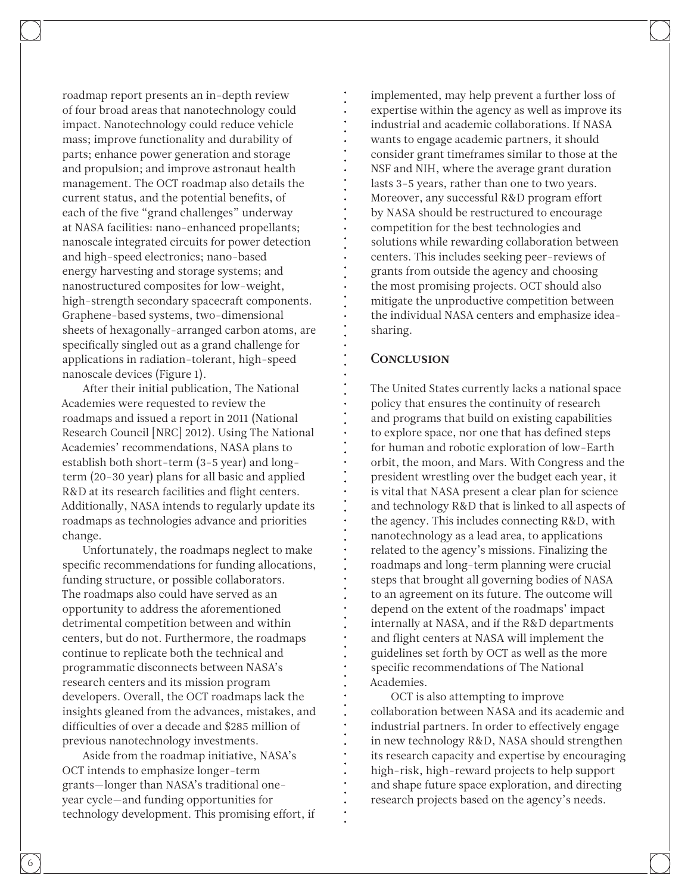roadmap report presents an in-depth review of four broad areas that nanotechnology could impact. Nanotechnology could reduce vehicle mass; improve functionality and durability of parts; enhance power generation and storage and propulsion; and improve astronaut health management. The OCT roadmap also details the current status, and the potential benefits, of each of the five "grand challenges" underway at NASA facilities: nano-enhanced propellants; nanoscale integrated circuits for power detection and high-speed electronics; nano-based energy harvesting and storage systems; and nanostructured composites for low-weight, high-strength secondary spacecraft components. Graphene-based systems, two-dimensional sheets of hexagonally-arranged carbon atoms, are specifically singled out as a grand challenge for applications in radiation-tolerant, high-speed nanoscale devices (Figure 1).

After their initial publication, The National Academies were requested to review the roadmaps and issued a report in 2011 (National Research Council [NRC] 2012). Using The National Academies' recommendations, NASA plans to establish both short-term (3-5 year) and longterm (20-30 year) plans for all basic and applied R&D at its research facilities and flight centers. Additionally, NASA intends to regularly update its roadmaps as technologies advance and priorities change.

Unfortunately, the roadmaps neglect to make specific recommendations for funding allocations, funding structure, or possible collaborators. The roadmaps also could have served as an opportunity to address the aforementioned detrimental competition between and within centers, but do not. Furthermore, the roadmaps continue to replicate both the technical and programmatic disconnects between NASA's research centers and its mission program developers. Overall, the OCT roadmaps lack the insights gleaned from the advances, mistakes, and difficulties of over a decade and \$285 million of previous nanotechnology investments.

Aside from the roadmap initiative, NASA's OCT intends to emphasize longer-term grants—longer than NASA's traditional oneyear cycle—and funding opportunities for technology development. This promising effort, if implemented, may help prevent a further loss of expertise within the agency as well as improve its industrial and academic collaborations. If NASA wants to engage academic partners, it should consider grant timeframes similar to those at the NSF and NIH, where the average grant duration lasts 3-5 years, rather than one to two years. Moreover, any successful R&D program effort by NASA should be restructured to encourage competition for the best technologies and solutions while rewarding collaboration between centers. This includes seeking peer-reviews of grants from outside the agency and choosing the most promising projects. OCT should also mitigate the unproductive competition between the individual NASA centers and emphasize ideasharing.

#### **CONCLUSION**

The United States currently lacks a national space policy that ensures the continuity of research and programs that build on existing capabilities to explore space, nor one that has defined steps for human and robotic exploration of low-Earth orbit, the moon, and Mars. With Congress and the president wrestling over the budget each year, it is vital that NASA present a clear plan for science and technology R&D that is linked to all aspects of the agency. This includes connecting R&D, with nanotechnology as a lead area, to applications related to the agency's missions. Finalizing the roadmaps and long-term planning were crucial steps that brought all governing bodies of NASA to an agreement on its future. The outcome will depend on the extent of the roadmaps' impact internally at NASA, and if the R&D departments and flight centers at NASA will implement the guidelines set forth by OCT as well as the more specific recommendations of The National Academies.

OCT is also attempting to improve collaboration between NASA and its academic and industrial partners. In order to effectively engage in new technology R&D, NASA should strengthen its research capacity and expertise by encouraging high-risk, high-reward projects to help support and shape future space exploration, and directing research projects based on the agency's needs.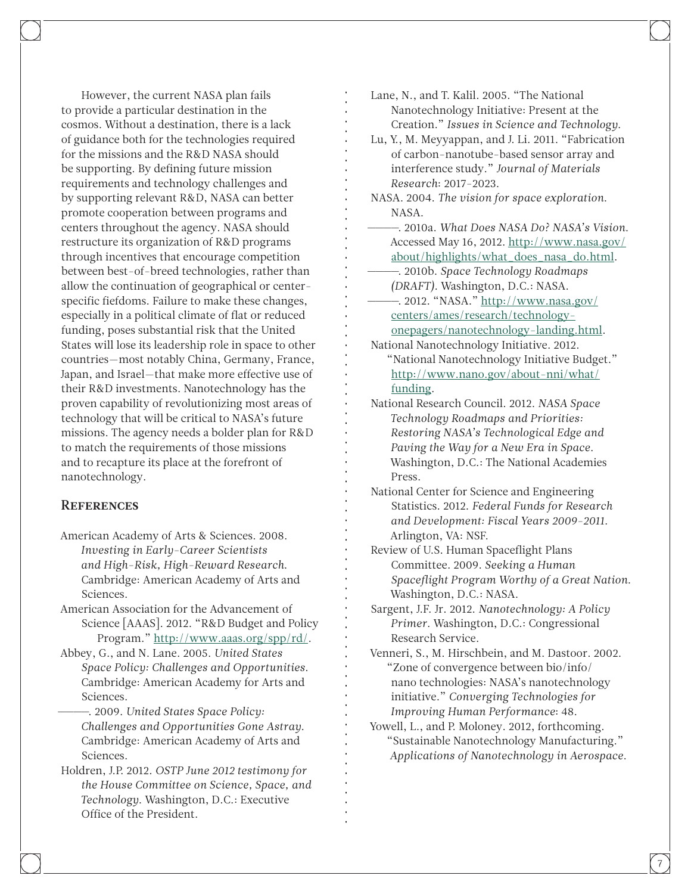However, the current NASA plan fails to provide a particular destination in the cosmos. Without a destination, there is a lack of guidance both for the technologies required for the missions and the R&D NASA should be supporting. By defining future mission requirements and technology challenges and by supporting relevant R&D, NASA can better promote cooperation between programs and centers throughout the agency. NASA should restructure its organization of R&D programs through incentives that encourage competition between best-of-breed technologies, rather than allow the continuation of geographical or centerspecific fiefdoms. Failure to make these changes, especially in a political climate of flat or reduced funding, poses substantial risk that the United States will lose its leadership role in space to other countries—most notably China, Germany, France, Japan, and Israel—that make more effective use of their R&D investments. Nanotechnology has the proven capability of revolutionizing most areas of technology that will be critical to NASA's future missions. The agency needs a bolder plan for R&D to match the requirements of those missions and to recapture its place at the forefront of nanotechnology.

#### **REFERENCES**

- American Academy of Arts & Sciences. 2008. *Investing in Early-Career Scientists and High-Risk, High-Reward Research*. Cambridge: American Academy of Arts and Sciences.
- American Association for the Advancement of Science [AAAS]. 2012. "R&D Budget and Policy Program." <http://www.aaas.org/spp/rd/>.
- Abbey, G., and N. Lane. 2005. *United States Space Policy: Challenges and Opportunities*. Cambridge: American Academy for Arts and Sciences.
	- $-$ . 2009. *United States Space Policy: Challenges and Opportunities Gone Astray*. Cambridge: American Academy of Arts and Sciences.
- Holdren, J.P. 2012. *OSTP June 2012 testimony for the House Committee on Science, Space, and Technology*. Washington, D.C.: Executive Office of the President.

Lane, N., and T. Kalil. 2005. "The National Nanotechnology Initiative: Present at the Creation." *Issues in Science and Technology*.

- Lu, Y., M. Meyyappan, and J. Li. 2011. "Fabrication of carbon-nanotube-based sensor array and interference study." *Journal of Materials Research*: 2017-2023.
- NASA. 2004. *The vision for space exploration*. NASA.
- ----. 2010a. *What Does NASA Do? NASA's Vision*. Accessed May 16, 2012. [http://www.nasa.gov/](http://www.nasa.gov/about/highlights/what_does_nasa_do.html) [about/highlights/what\\_does\\_nasa\\_do.html](http://www.nasa.gov/about/highlights/what_does_nasa_do.html).
- ----. 2010b. *Space Technology Roadmaps (DRAFT)*. Washington, D.C.: NASA.
- -. 2012. "NASA." [http://www.nasa.gov/](http://www.nasa.gov/centers/ames/research/technology-onepagers/nanotechnology-landing.html) [centers/ames/research/technology](http://www.nasa.gov/centers/ames/research/technology-onepagers/nanotechnology-landing.html)[onepagers/nanotechnology-landing.html.](http://www.nasa.gov/centers/ames/research/technology-onepagers/nanotechnology-landing.html)
- National Nanotechnology Initiative. 2012. "National Nanotechnology Initiative Budget." [http://www.nano.gov/about-nni/what/](http://www.nano.gov/about-nni/what/funding) [funding](http://www.nano.gov/about-nni/what/funding).
- National Research Council. 2012. *NASA Space Technology Roadmaps and Priorities: Restoring NASA's Technological Edge and Paving the Way for a New Era in Space*. Washington, D.C.: The National Academies Press.
- National Center for Science and Engineering Statistics. 2012. *Federal Funds for Research and Development: Fiscal Years 2009-2011*. Arlington, VA: NSF.
- Review of U.S. Human Spaceflight Plans Committee. 2009. *Seeking a Human Spaceflight Program Worthy of a Great Nation*. Washington, D.C.: NASA.
- Sargent, J.F. Jr. 2012. *Nanotechnology: A Policy Primer*. Washington, D.C.: Congressional Research Service.
- Venneri, S., M. Hirschbein, and M. Dastoor. 2002. "Zone of convergence between bio/info/ nano technologies: NASA's nanotechnology initiative." *Converging Technologies for Improving Human Performance*: 48.
- Yowell, L., and P. Moloney. 2012, forthcoming. "Sustainable Nanotechnology Manufacturing." *Applications of Nanotechnology in Aerospace*.